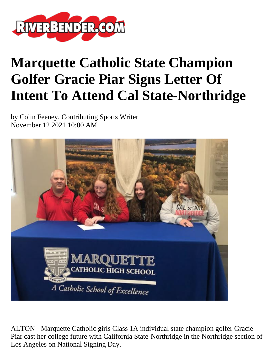

## **Marquette Catholic State Champion Golfer Gracie Piar Signs Letter Of Intent To Attend Cal State-Northridge**

by Colin Feeney, Contributing Sports Writer November 12 2021 10:00 AM



ALTON - Marquette Catholic girls Class 1A individual state champion golfer Gracie Piar cast her college future with California State-Northridge in the Northridge section of Los Angeles on National Signing Day.